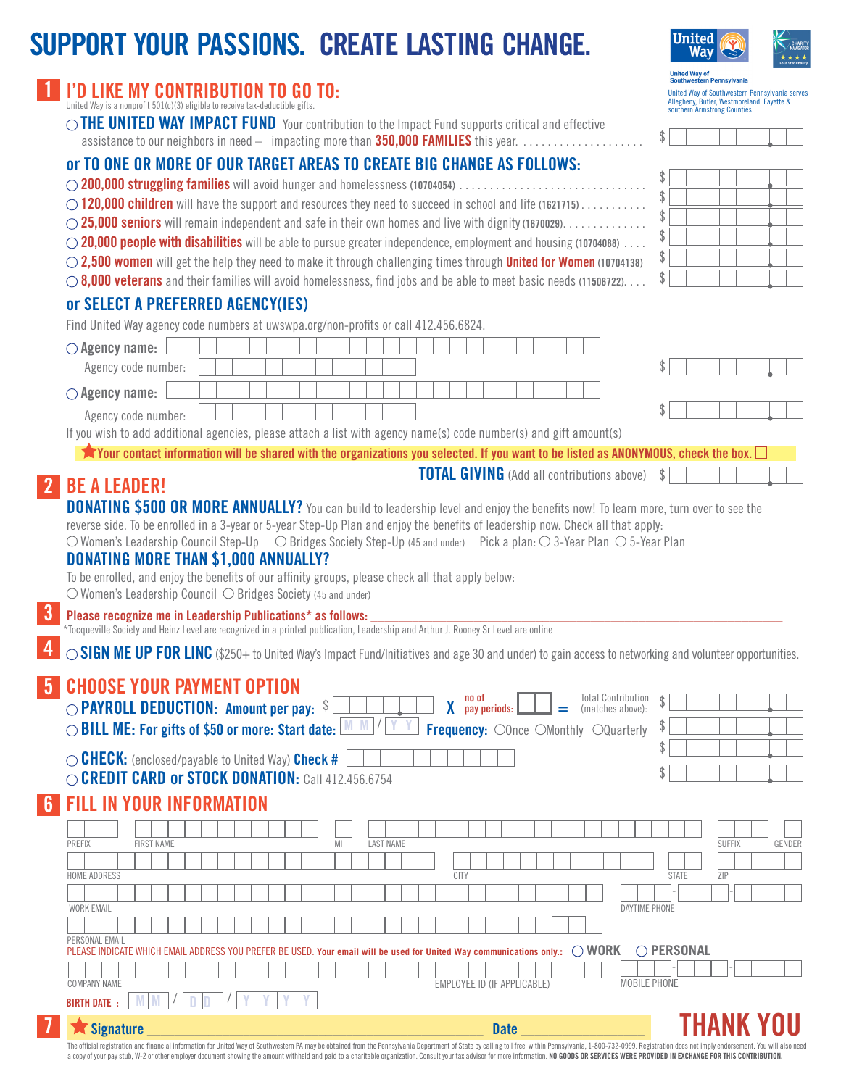# **SUPPORT YOUR PASSIONS. CREATE LASTING CHANGE.**

**1 I'D LIKE MY CONTRIBUTION TO GO TO:** United Way is a nonprofit 501(c)(3) eligible to receive tax-deductible gifts.

|                | $\circ$ THE UNITED WAY IMPACT FUND Your contribution to the Impact Fund supports critical and effective<br>assistance to our neighbors in need $-$ impacting more than <b>350,000 FAMILIES</b> this year. $\ldots \ldots \ldots$                          |                            |        |
|----------------|-----------------------------------------------------------------------------------------------------------------------------------------------------------------------------------------------------------------------------------------------------------|----------------------------|--------|
|                | or TO ONE OR MORE OF OUR TARGET AREAS TO CREATE BIG CHANGE AS FOLLOWS:                                                                                                                                                                                    |                            |        |
|                | ○ 200,000 struggling families will avoid hunger and homelessness (10704054)                                                                                                                                                                               |                            |        |
|                | $\bigcirc$ 120,000 children will have the support and resources they need to succeed in school and life (1621715)                                                                                                                                         | $\boldsymbol{\mathcal{Z}}$ |        |
|                | $\bigcirc$ 25,000 seniors will remain independent and safe in their own homes and live with dignity (1670029).                                                                                                                                            | \$                         |        |
|                | $\bigcirc$ 20,000 people with disabilities will be able to pursue greater independence, employment and housing (10704088)                                                                                                                                 |                            |        |
|                | $\bigcirc$ 2,500 women will get the help they need to make it through challenging times through United for Women (10704138)<br>$\bigcirc$ 8,000 veterans and their families will avoid homelessness, find jobs and be able to meet basic needs (11506722) |                            |        |
|                | <b>OF SELECT A PREFERRED AGENCY(IES)</b>                                                                                                                                                                                                                  |                            |        |
|                | Find United Way agency code numbers at uwswpa.org/non-profits or call 412.456.6824.                                                                                                                                                                       |                            |        |
|                | $\bigcirc$ Agency name:                                                                                                                                                                                                                                   |                            |        |
|                | Agency code number:                                                                                                                                                                                                                                       |                            |        |
|                | $\bigcirc$ Agency name:                                                                                                                                                                                                                                   |                            |        |
|                | Agency code number:                                                                                                                                                                                                                                       |                            |        |
|                | If you wish to add additional agencies, please attach a list with agency name(s) code number(s) and gift amount(s)                                                                                                                                        |                            |        |
|                | X Your contact information will be shared with the organizations you selected. If you want to be listed as ANONYMOUS, check the box.                                                                                                                      |                            |        |
|                | <b>TOTAL GIVING</b> (Add all contributions above)<br><b>BE A LEADER!</b>                                                                                                                                                                                  | $\mathcal{S}$              |        |
|                | <b>DONATING \$500 OR MORE ANNUALLY?</b> You can build to leadership level and enjoy the benefits now! To learn more, turn over to see the                                                                                                                 |                            |        |
|                | reverse side. To be enrolled in a 3-year or 5-year Step-Up Plan and enjoy the benefits of leadership now. Check all that apply:                                                                                                                           |                            |        |
|                | O Women's Leadership Council Step-Up $\bigcirc$ Bridges Society Step-Up (45 and under) Pick a plan: $\bigcirc$ 3-Year Plan $\bigcirc$ 5-Year Plan                                                                                                         |                            |        |
|                | <b>DONATING MORE THAN \$1,000 ANNUALLY?</b>                                                                                                                                                                                                               |                            |        |
|                | To be enrolled, and enjoy the benefits of our affinity groups, please check all that apply below:<br>$\circ$ Women's Leadership Council $\circ$ Bridges Society (45 and under)                                                                            |                            |        |
| $\overline{3}$ | Please recognize me in Leadership Publications* as follows:                                                                                                                                                                                               |                            |        |
|                | *Tocqueville Society and Heinz Level are recognized in a printed publication, Leadership and Arthur J. Rooney Sr Level are online                                                                                                                         |                            |        |
|                | ○ SIGN ME UP FOR LINC (\$250+ to United Way's Impact Fund/Initiatives and age 30 and under) to gain access to networking and volunteer opportunities.                                                                                                     |                            |        |
|                | <b>5 CHOOSE YOUR PAYMENT OPTION</b>                                                                                                                                                                                                                       |                            |        |
|                | Total Contribution<br>(matches above):<br>no of<br>$\chi$ pay periods:<br>$\circ$ PAYROLL DEDUCTION: Amount per pay: $\frac{1}{2}$<br>Ξ                                                                                                                   |                            |        |
|                | ◯ BILL ME: For gifts of \$50 or more: Start date: $M/M/N$ Frequency: $\circ$ Once $\circ$ Monthly $\circ$ Quarterly $\frac{1}{2}$                                                                                                                         |                            |        |
|                |                                                                                                                                                                                                                                                           |                            |        |
|                | $\circ$ CHECK: (enclosed/payable to United Way) Check #<br>C CREDIT CARD or STOCK DONATION: Call 412.456.6754                                                                                                                                             |                            |        |
|                |                                                                                                                                                                                                                                                           |                            |        |
| 6 <sup>1</sup> | <b>FILL IN YOUR INFORMATION</b>                                                                                                                                                                                                                           |                            |        |
|                | <b>PREFIX</b><br><b>FIRST NAME</b><br><b>LAST NAME</b><br>MI                                                                                                                                                                                              | <b>SUFFIX</b>              | GENDER |
|                |                                                                                                                                                                                                                                                           |                            |        |
|                | <b>HOME ADDRESS</b><br><b>CITY</b>                                                                                                                                                                                                                        | ZIP<br><b>STATE</b>        |        |
|                | <b>WORK EMAIL</b><br><b>DAYTIME PHONE</b>                                                                                                                                                                                                                 |                            |        |
|                |                                                                                                                                                                                                                                                           |                            |        |
|                | PERSONAL EMAIL<br>$\bigcirc$ work<br>PLEASE INDICATE WHICH EMAIL ADDRESS YOU PREFER BE USED. Your email will be used for United Way communications only.:                                                                                                 | $\bigcirc$ personal        |        |
|                | <b>COMPANY NAME</b><br>MOBILE PHONE<br>EMPLOYEE ID (IF APPLICABLE)                                                                                                                                                                                        |                            |        |
|                | <b>BIRTH DATE:</b>                                                                                                                                                                                                                                        |                            |        |
|                | Signature<br><b>Date</b>                                                                                                                                                                                                                                  | <b>THANK YOU</b>           |        |
|                |                                                                                                                                                                                                                                                           |                            |        |

The official registration and financial information for United Way of Southwestern PA may be obtained from the Pennsylvania Department of State by calling toll free, within Pennsylvania, 1-800-732-0999. Registration does n a copy of your pay stub, W-2 or other employer document showing the amount withheld and paid to a charitable organization. Consult your tax advisor for more information. NO 600DS OR SERVICES WERE PROVIDED IN EXCHANGE FOR T



#### **United Way of<br>Southwestern ennsylvania**

**United Way** 

United Way of Southwestern Pennsylvania serves Allegheny, Butler, Westmoreland, Fayette & southern Armstrong Counties.